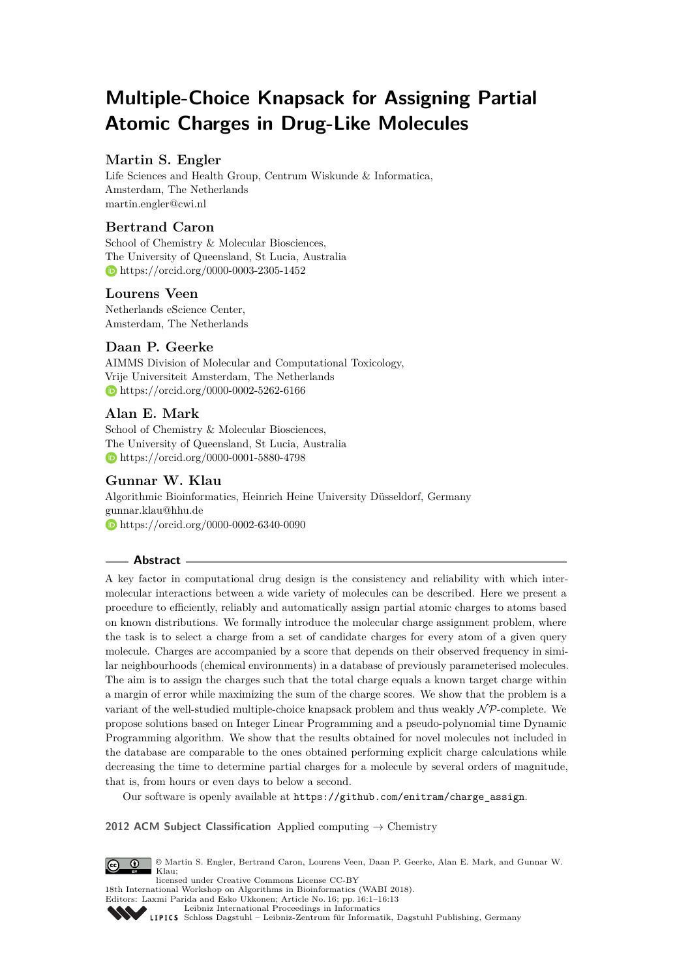# **Multiple-Choice Knapsack for Assigning Partial Atomic Charges in Drug-Like Molecules**

## **Martin S. Engler**

Life Sciences and Health Group, Centrum Wiskunde & Informatica, Amsterdam, The Netherlands [martin.engler@cwi.nl](mailto:martin.engler@cwi.nl)

## **Bertrand Caron**

School of Chemistry & Molecular Biosciences, The University of Queensland, St Lucia, Australia <https://orcid.org/0000-0003-2305-1452>

## **Lourens Veen**

Netherlands eScience Center, Amsterdam, The Netherlands

# **Daan P. Geerke**

AIMMS Division of Molecular and Computational Toxicology, Vrije Universiteit Amsterdam, The Netherlands <https://orcid.org/0000-0002-5262-6166>

# **Alan E. Mark**

School of Chemistry & Molecular Biosciences, The University of Queensland, St Lucia, Australia <https://orcid.org/0000-0001-5880-4798>

# **Gunnar W. Klau**

Algorithmic Bioinformatics, Heinrich Heine University Düsseldorf, Germany [gunnar.klau@hhu.de](mailto:gunnar.klau@hhu.de) <https://orcid.org/0000-0002-6340-0090>

#### **Abstract**

A key factor in computational drug design is the consistency and reliability with which intermolecular interactions between a wide variety of molecules can be described. Here we present a procedure to efficiently, reliably and automatically assign partial atomic charges to atoms based on known distributions. We formally introduce the molecular charge assignment problem, where the task is to select a charge from a set of candidate charges for every atom of a given query molecule. Charges are accompanied by a score that depends on their observed frequency in similar neighbourhoods (chemical environments) in a database of previously parameterised molecules. The aim is to assign the charges such that the total charge equals a known target charge within a margin of error while maximizing the sum of the charge scores. We show that the problem is a variant of the well-studied multiple-choice knapsack problem and thus weakly  $N\mathcal{P}$ -complete. We propose solutions based on Integer Linear Programming and a pseudo-polynomial time Dynamic Programming algorithm. We show that the results obtained for novel molecules not included in the database are comparable to the ones obtained performing explicit charge calculations while decreasing the time to determine partial charges for a molecule by several orders of magnitude, that is, from hours or even days to below a second.

Our software is openly available at [https://github.com/enitram/charge\\_assign](https://github.com/enitram/charge_assign).

**2012 ACM Subject Classification** Applied computing → Chemistry



© Martin S. Engler, Bertrand Caron, Lourens Veen, Daan P. Geerke, Alan E. Mark, and Gunnar W. Klau;

licensed under Creative Commons License CC-BY 18th International Workshop on Algorithms in Bioinformatics (WABI 2018). Editors: Laxmi Parida and Esko Ukkonen; Article No. 16; pp. 16:1–16[:13](#page-12-0)

[Leibniz International Proceedings in Informatics](http://www.dagstuhl.de/lipics/)

[Schloss Dagstuhl – Leibniz-Zentrum für Informatik, Dagstuhl Publishing, Germany](http://www.dagstuhl.de)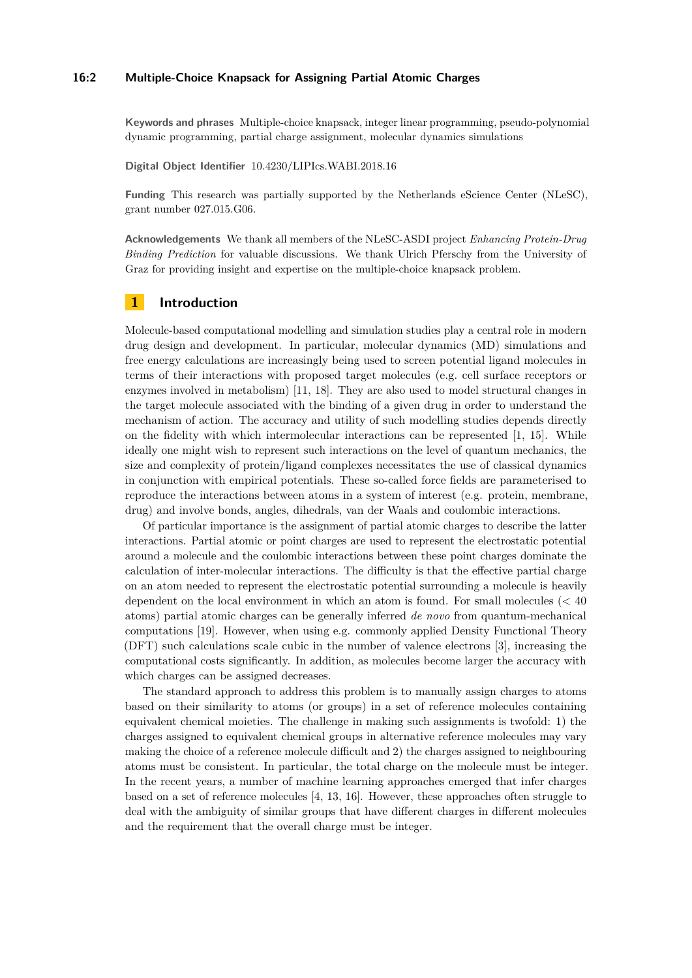#### **16:2 Multiple-Choice Knapsack for Assigning Partial Atomic Charges**

**Keywords and phrases** Multiple-choice knapsack, integer linear programming, pseudo-polynomial dynamic programming, partial charge assignment, molecular dynamics simulations

**Digital Object Identifier** [10.4230/LIPIcs.WABI.2018.16](http://dx.doi.org/10.4230/LIPIcs.WABI.2018.16)

**Funding** This research was partially supported by the Netherlands eScience Center (NLeSC), grant number 027.015.G06.

**Acknowledgements** We thank all members of the NLeSC-ASDI project *Enhancing Protein-Drug Binding Prediction* for valuable discussions. We thank Ulrich Pferschy from the University of Graz for providing insight and expertise on the multiple-choice knapsack problem.

### **1 Introduction**

Molecule-based computational modelling and simulation studies play a central role in modern drug design and development. In particular, molecular dynamics (MD) simulations and free energy calculations are increasingly being used to screen potential ligand molecules in terms of their interactions with proposed target molecules (e.g. cell surface receptors or enzymes involved in metabolism) [\[11,](#page-11-0) [18\]](#page-12-1). They are also used to model structural changes in the target molecule associated with the binding of a given drug in order to understand the mechanism of action. The accuracy and utility of such modelling studies depends directly on the fidelity with which intermolecular interactions can be represented [\[1,](#page-10-0) [15\]](#page-11-1). While ideally one might wish to represent such interactions on the level of quantum mechanics, the size and complexity of protein/ligand complexes necessitates the use of classical dynamics in conjunction with empirical potentials. These so-called force fields are parameterised to reproduce the interactions between atoms in a system of interest (e.g. protein, membrane, drug) and involve bonds, angles, dihedrals, van der Waals and coulombic interactions.

Of particular importance is the assignment of partial atomic charges to describe the latter interactions. Partial atomic or point charges are used to represent the electrostatic potential around a molecule and the coulombic interactions between these point charges dominate the calculation of inter-molecular interactions. The difficulty is that the effective partial charge on an atom needed to represent the electrostatic potential surrounding a molecule is heavily dependent on the local environment in which an atom is found. For small molecules (< 40 atoms) partial atomic charges can be generally inferred *de novo* from quantum-mechanical computations [\[19\]](#page-12-2). However, when using e.g. commonly applied Density Functional Theory (DFT) such calculations scale cubic in the number of valence electrons [\[3\]](#page-11-2), increasing the computational costs significantly. In addition, as molecules become larger the accuracy with which charges can be assigned decreases.

The standard approach to address this problem is to manually assign charges to atoms based on their similarity to atoms (or groups) in a set of reference molecules containing equivalent chemical moieties. The challenge in making such assignments is twofold: 1) the charges assigned to equivalent chemical groups in alternative reference molecules may vary making the choice of a reference molecule difficult and 2) the charges assigned to neighbouring atoms must be consistent. In particular, the total charge on the molecule must be integer. In the recent years, a number of machine learning approaches emerged that infer charges based on a set of reference molecules [\[4,](#page-11-3) [13,](#page-11-4) [16\]](#page-11-5). However, these approaches often struggle to deal with the ambiguity of similar groups that have different charges in different molecules and the requirement that the overall charge must be integer.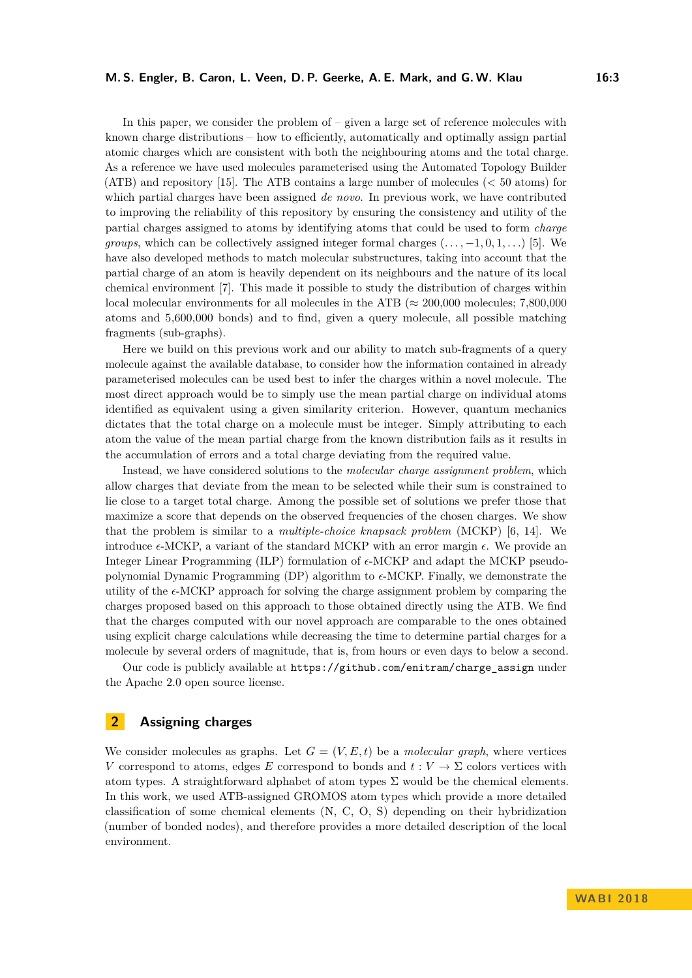In this paper, we consider the problem of  $-$  given a large set of reference molecules with known charge distributions – how to efficiently, automatically and optimally assign partial atomic charges which are consistent with both the neighbouring atoms and the total charge. As a reference we have used molecules parameterised using the Automated Topology Builder (ATB) and repository [\[15\]](#page-11-1). The ATB contains a large number of molecules (< 50 atoms) for which partial charges have been assigned *de novo*. In previous work, we have contributed to improving the reliability of this repository by ensuring the consistency and utility of the partial charges assigned to atoms by identifying atoms that could be used to form *charge groups*, which can be collectively assigned integer formal charges  $(\ldots, -1, 0, 1, \ldots)$  [\[5\]](#page-11-6). We have also developed methods to match molecular substructures, taking into account that the partial charge of an atom is heavily dependent on its neighbours and the nature of its local chemical environment [\[7\]](#page-11-7). This made it possible to study the distribution of charges within local molecular environments for all molecules in the ATB ( $\approx 200,000$  molecules; 7,800,000 atoms and 5,600,000 bonds) and to find, given a query molecule, all possible matching fragments (sub-graphs).

Here we build on this previous work and our ability to match sub-fragments of a query molecule against the available database, to consider how the information contained in already parameterised molecules can be used best to infer the charges within a novel molecule. The most direct approach would be to simply use the mean partial charge on individual atoms identified as equivalent using a given similarity criterion. However, quantum mechanics dictates that the total charge on a molecule must be integer. Simply attributing to each atom the value of the mean partial charge from the known distribution fails as it results in the accumulation of errors and a total charge deviating from the required value.

Instead, we have considered solutions to the *molecular charge assignment problem*, which allow charges that deviate from the mean to be selected while their sum is constrained to lie close to a target total charge. Among the possible set of solutions we prefer those that maximize a score that depends on the observed frequencies of the chosen charges. We show that the problem is similar to a *multiple-choice knapsack problem* (MCKP) [\[6,](#page-11-8) [14\]](#page-11-9). We introduce  $\epsilon$ -MCKP, a variant of the standard MCKP with an error margin  $\epsilon$ . We provide an Integer Linear Programming (ILP) formulation of  $\epsilon$ -MCKP and adapt the MCKP pseudopolynomial Dynamic Programming  $(DP)$  algorithm to  $\epsilon$ -MCKP. Finally, we demonstrate the utility of the  $\epsilon$ -MCKP approach for solving the charge assignment problem by comparing the charges proposed based on this approach to those obtained directly using the ATB. We find that the charges computed with our novel approach are comparable to the ones obtained using explicit charge calculations while decreasing the time to determine partial charges for a molecule by several orders of magnitude, that is, from hours or even days to below a second.

Our code is publicly available at [https://github.com/enitram/charge\\_assign](https://github.com/enitram/charge_assign) under the Apache 2.0 open source license.

# **2 Assigning charges**

We consider molecules as graphs. Let  $G = (V, E, t)$  be a *molecular graph*, where vertices *V* correspond to atoms, edges *E* correspond to bonds and  $t: V \to \Sigma$  colors vertices with atom types. A straightforward alphabet of atom types  $\Sigma$  would be the chemical elements. In this work, we used ATB-assigned GROMOS atom types which provide a more detailed classification of some chemical elements (N, C, O, S) depending on their hybridization (number of bonded nodes), and therefore provides a more detailed description of the local environment.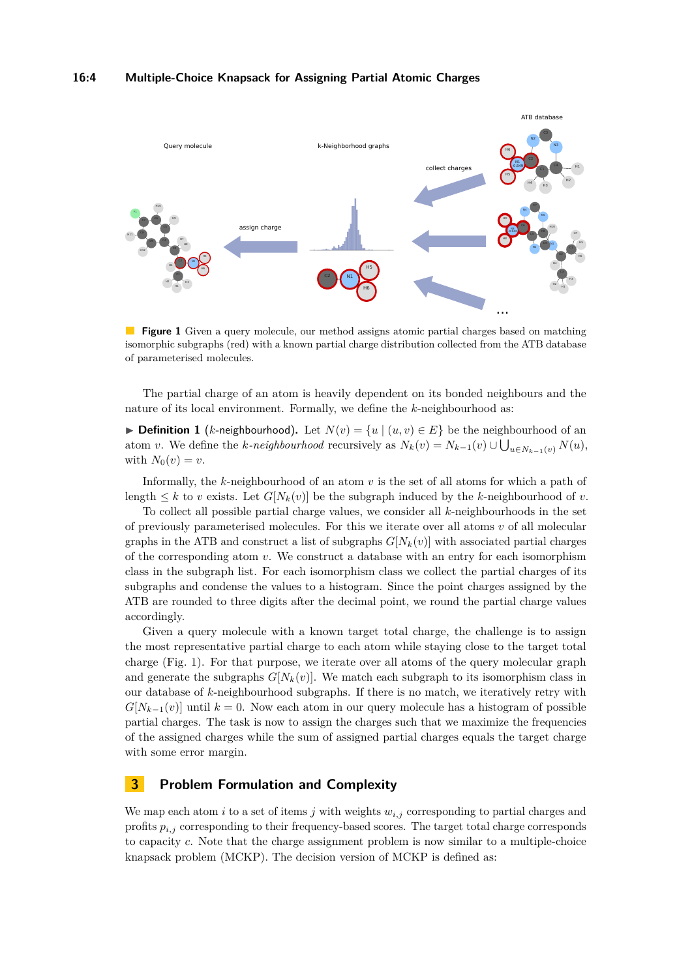<span id="page-3-0"></span>

**Figure 1** Given a query molecule, our method assigns atomic partial charges based on matching isomorphic subgraphs (red) with a known partial charge distribution collected from the ATB database of parameterised molecules.

The partial charge of an atom is heavily dependent on its bonded neighbours and the nature of its local environment. Formally, we define the *k*-neighbourhood as:

▶ **Definition 1** (*k*-neighbourhood). Let  $N(v) = \{u \mid (u, v) \in E\}$  be the neighbourhood of an atom *v*. We define the *k-neighbourhood* recursively as  $N_k(v) = N_{k-1}(v) \cup \bigcup_{u \in N_{k-1}(v)} N(u)$ , with  $N_0(v) = v$ .

Informally, the *k*-neighbourhood of an atom *v* is the set of all atoms for which a path of length  $\leq k$  to *v* exists. Let  $G[N_k(v)]$  be the subgraph induced by the *k*-neighbourhood of *v*.

To collect all possible partial charge values, we consider all *k*-neighbourhoods in the set of previously parameterised molecules. For this we iterate over all atoms *v* of all molecular graphs in the ATB and construct a list of subgraphs  $G[N_k(v)]$  with associated partial charges of the corresponding atom *v*. We construct a database with an entry for each isomorphism class in the subgraph list. For each isomorphism class we collect the partial charges of its subgraphs and condense the values to a histogram. Since the point charges assigned by the ATB are rounded to three digits after the decimal point, we round the partial charge values accordingly.

Given a query molecule with a known target total charge, the challenge is to assign the most representative partial charge to each atom while staying close to the target total charge (Fig. [1\)](#page-3-0). For that purpose, we iterate over all atoms of the query molecular graph and generate the subgraphs  $G[N_k(v)]$ . We match each subgraph to its isomorphism class in our database of *k*-neighbourhood subgraphs. If there is no match, we iteratively retry with  $G[N_{k-1}(v)]$  until  $k = 0$ . Now each atom in our query molecule has a histogram of possible partial charges. The task is now to assign the charges such that we maximize the frequencies of the assigned charges while the sum of assigned partial charges equals the target charge with some error margin.

## **3 Problem Formulation and Complexity**

We map each atom *i* to a set of items *j* with weights  $w_{i,j}$  corresponding to partial charges and profits *pi,j* corresponding to their frequency-based scores. The target total charge corresponds to capacity *c*. Note that the charge assignment problem is now similar to a multiple-choice knapsack problem (MCKP). The decision version of MCKP is defined as: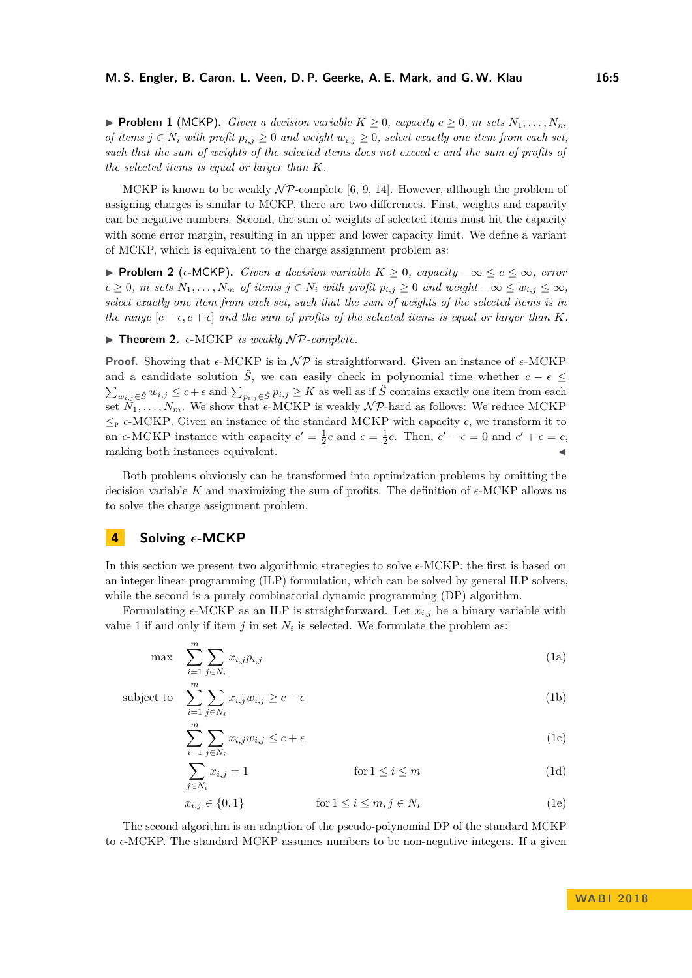▶ **Problem 1** (MCKP). *Given a decision variable*  $K \geq 0$ *, capacity*  $c \geq 0$ *, m sets*  $N_1, \ldots, N_m$ *of items*  $j \in N_i$  *with profit*  $p_{i,j} \geq 0$  *and weight*  $w_{i,j} \geq 0$ *, select exactly one item from each set, such that the sum of weights of the selected items does not exceed c and the sum of profits of the selected items is equal or larger than K.*

MCKP is known to be weakly  $\mathcal{NP}$ -complete [\[6,](#page-11-8) [9,](#page-11-10) [14\]](#page-11-9). However, although the problem of assigning charges is similar to MCKP, there are two differences. First, weights and capacity can be negative numbers. Second, the sum of weights of selected items must hit the capacity with some error margin, resulting in an upper and lower capacity limit. We define a variant of MCKP, which is equivalent to the charge assignment problem as:

**► Problem 2** ( $\epsilon$ -MCKP). *Given a decision variable*  $K \geq 0$ , *capacity*  $-\infty \leq c \leq \infty$ , *error*  $\epsilon \geq 0$ , *m* sets  $N_1, \ldots, N_m$  of items  $j \in N_i$  with profit  $p_{i,j} \geq 0$  and weight  $-\infty \leq w_{i,j} \leq \infty$ , *select exactly one item from each set, such that the sum of weights of the selected items is in the range*  $[c - \epsilon, c + \epsilon]$  *and the sum of profits of the selected items is equal or larger than K.* 

 $\blacktriangleright$  **Theorem 2.**  $\epsilon$ -MCKP *is weakly*  $\mathcal{NP}$ *-complete.* 

**Proof.** Showing that  $\epsilon$ -MCKP is in  $\mathcal{NP}$  is straightforward. Given an instance of  $\epsilon$ -MCKP and a candidate solution  $\hat{S}$ , we can easily check in polynomial time whether  $c - \epsilon \leq$  $\sum_{w_{i,j}\in\hat{S}} w_{i,j}$  ≤  $c+\epsilon$  and  $\sum_{p_{i,j}\in\hat{S}} p_{i,j}$  ≥ *K* as well as if  $\hat{S}$  contains exactly one item from each set  $N_1, \ldots, N_m$ . We show that  $\epsilon$ -MCKP is weakly  $\mathcal{NP}$ -hard as follows: We reduce MCKP  $\leq_{\text{P}} \epsilon$ -MCKP. Given an instance of the standard MCKP with capacity *c*, we transform it to an  $\epsilon$ -MCKP instance with capacity  $c' = \frac{1}{2}c$  and  $\epsilon = \frac{1}{2}c$ . Then,  $c' - \epsilon = 0$  and  $c' + \epsilon = c$ , making both instances equivalent.

Both problems obviously can be transformed into optimization problems by omitting the decision variable K and maximizing the sum of profits. The definition of  $\epsilon$ -MCKP allows us to solve the charge assignment problem.

#### **4** Solving  $\epsilon$ -MCKP

In this section we present two algorithmic strategies to solve  $\epsilon$ -MCKP: the first is based on an integer linear programming (ILP) formulation, which can be solved by general ILP solvers, while the second is a purely combinatorial dynamic programming (DP) algorithm.

Formulating  $\epsilon$ -MCKP as an ILP is straightforward. Let  $x_{i,j}$  be a binary variable with value 1 if and only if item  $j$  in set  $N_i$  is selected. We formulate the problem as:

$$
\max \sum_{i=1}^{m} \sum_{j \in N_i} x_{i,j} p_{i,j} \tag{1a}
$$

subject to  $\sum_{i=1}^{m} \sum_{i=1}^{m}$ 

$$
\sum_{i=1}^{n} \sum_{j \in N_i} x_{i,j} w_{i,j} \ge c - \epsilon
$$
\n
$$
\sum_{i=1}^{m} \sum_{j \in N_i} x_{i,j} w_{i,j} \le c + \epsilon
$$
\n(1b)

$$
\sum_{i=1}^{n} \sum_{j \in N_i} x_{i,j} w_{i,j} \le c + \epsilon
$$
\n(1c)

$$
\sum_{j \in N_i} x_{i,j} = 1 \qquad \text{for } 1 \le i \le m \tag{1d}
$$

$$
x_{i,j} \in \{0,1\} \qquad \text{for } 1 \le i \le m, j \in N_i \tag{1e}
$$

The second algorithm is an adaption of the pseudo-polynomial DP of the standard MCKP to  $\epsilon$ -MCKP. The standard MCKP assumes numbers to be non-negative integers. If a given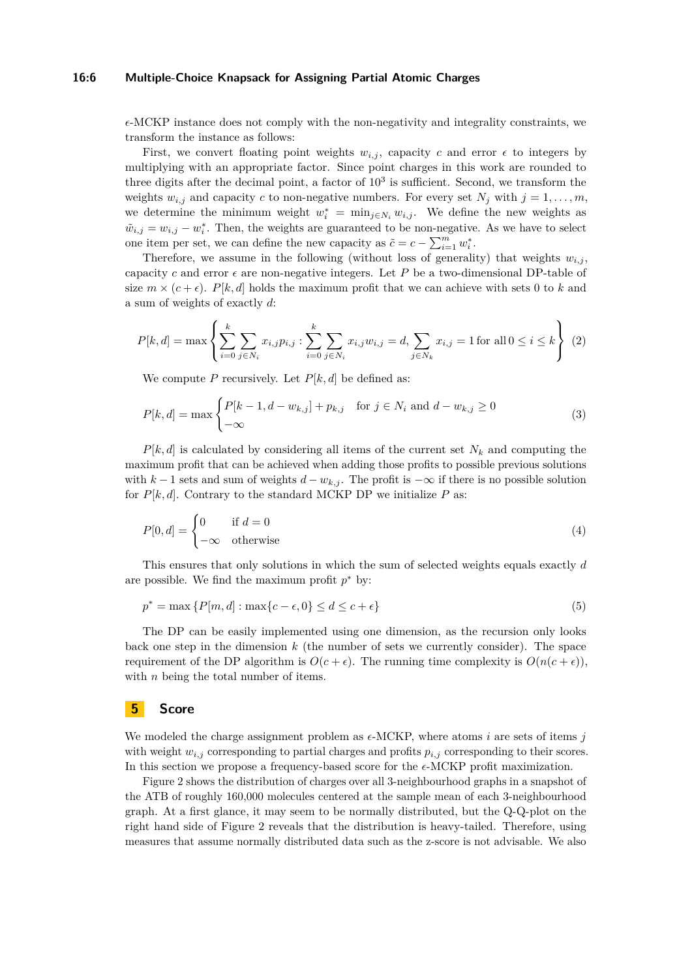#### **16:6 Multiple-Choice Knapsack for Assigning Partial Atomic Charges**

 $\epsilon$ -MCKP instance does not comply with the non-negativity and integrality constraints, we transform the instance as follows:

First, we convert floating point weights  $w_{i,j}$ , capacity *c* and error  $\epsilon$  to integers by multiplying with an appropriate factor. Since point charges in this work are rounded to three digits after the decimal point, a factor of  $10<sup>3</sup>$  is sufficient. Second, we transform the weights  $w_{i,j}$  and capacity *c* to non-negative numbers. For every set  $N_j$  with  $j = 1, \ldots, m$ , we determine the minimum weight  $w_i^* = \min_{j \in N_i} w_{i,j}$ . We define the new weights as  $\tilde{w}_{i,j} = w_{i,j} - w_i^*$ . Then, the weights are guaranteed to be non-negative. As we have to select one item per set, we can define the new capacity as  $\tilde{c} = c - \sum_{i=1}^{m} w_i^*$ .

Therefore, we assume in the following (without loss of generality) that weights  $w_{i,j}$ , capacity c and error  $\epsilon$  are non-negative integers. Let P be a two-dimensional DP-table of size  $m \times (c + \epsilon)$ . *P*[*k, d*] holds the maximum profit that we can achieve with sets 0 to *k* and a sum of weights of exactly *d*:

$$
P[k,d] = \max\left\{\sum_{i=0}^{k} \sum_{j \in N_i} x_{i,j} p_{i,j} : \sum_{i=0}^{k} \sum_{j \in N_i} x_{i,j} w_{i,j} = d, \sum_{j \in N_k} x_{i,j} = 1 \text{ for all } 0 \le i \le k \right\}
$$
 (2)

We compute *P* recursively. Let  $P[k, d]$  be defined as:

$$
P[k,d] = \max \begin{cases} P[k-1,d-w_{k,j}] + p_{k,j} & \text{for } j \in N_i \text{ and } d-w_{k,j} \ge 0\\ -\infty & (3) \end{cases}
$$

 $P[k, d]$  is calculated by considering all items of the current set  $N_k$  and computing the maximum profit that can be achieved when adding those profits to possible previous solutions with  $k-1$  sets and sum of weights  $d-w_{k,i}$ . The profit is  $-\infty$  if there is no possible solution for  $P[k, d]$ . Contrary to the standard MCKP DP we initialize  $P$  as:

$$
P[0,d] = \begin{cases} 0 & \text{if } d = 0\\ -\infty & \text{otherwise} \end{cases}
$$
 (4)

This ensures that only solutions in which the sum of selected weights equals exactly *d* are possible. We find the maximum profit  $p^*$  by:

$$
p^* = \max\left\{P[m,d] : \max\{c - \epsilon, 0\} \le d \le c + \epsilon\right\} \tag{5}
$$

The DP can be easily implemented using one dimension, as the recursion only looks back one step in the dimension *k* (the number of sets we currently consider). The space requirement of the DP algorithm is  $O(c + \epsilon)$ . The running time complexity is  $O(n(c + \epsilon))$ , with *n* being the total number of items.

#### **5 Score**

We modeled the charge assignment problem as  $\epsilon$ -MCKP, where atoms *i* are sets of items *j* with weight  $w_{i,j}$  corresponding to partial charges and profits  $p_{i,j}$  corresponding to their scores. In this section we propose a frequency-based score for the  $\epsilon\textsc{-MCKP}$  profit maximization.

Figure [2](#page-6-0) shows the distribution of charges over all 3-neighbourhood graphs in a snapshot of the ATB of roughly 160,000 molecules centered at the sample mean of each 3-neighbourhood graph. At a first glance, it may seem to be normally distributed, but the Q-Q-plot on the right hand side of Figure [2](#page-6-0) reveals that the distribution is heavy-tailed. Therefore, using measures that assume normally distributed data such as the z-score is not advisable. We also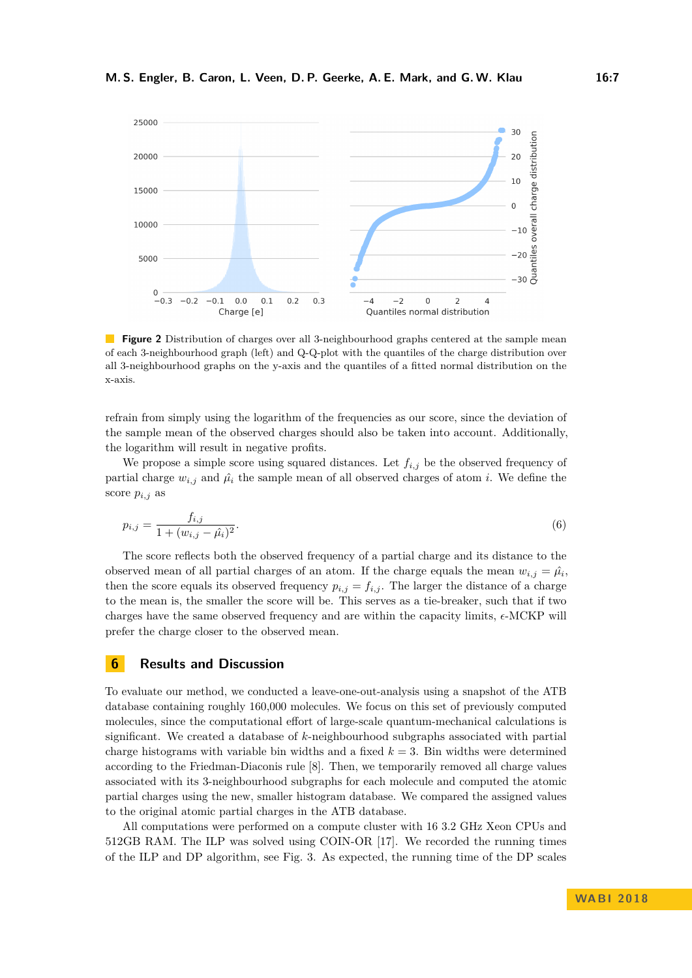<span id="page-6-0"></span>

**Figure 2** Distribution of charges over all 3-neighbourhood graphs centered at the sample mean of each 3-neighbourhood graph (left) and Q-Q-plot with the quantiles of the charge distribution over all 3-neighbourhood graphs on the y-axis and the quantiles of a fitted normal distribution on the x-axis.

refrain from simply using the logarithm of the frequencies as our score, since the deviation of the sample mean of the observed charges should also be taken into account. Additionally, the logarithm will result in negative profits.

We propose a simple score using squared distances. Let  $f_{i,j}$  be the observed frequency of partial charge  $w_{i,j}$  and  $\hat{\mu}_i$  the sample mean of all observed charges of atom *i*. We define the score *pi,j* as

$$
p_{i,j} = \frac{f_{i,j}}{1 + (w_{i,j} - \hat{\mu}_i)^2}.
$$
\n(6)

The score reflects both the observed frequency of a partial charge and its distance to the observed mean of all partial charges of an atom. If the charge equals the mean  $w_{i,j} = \hat{\mu}_i$ , then the score equals its observed frequency  $p_{i,j} = f_{i,j}$ . The larger the distance of a charge to the mean is, the smaller the score will be. This serves as a tie-breaker, such that if two charges have the same observed frequency and are within the capacity limits,  $\epsilon$ -MCKP will prefer the charge closer to the observed mean.

#### **6 Results and Discussion**

To evaluate our method, we conducted a leave-one-out-analysis using a snapshot of the ATB database containing roughly 160,000 molecules. We focus on this set of previously computed molecules, since the computational effort of large-scale quantum-mechanical calculations is significant. We created a database of *k*-neighbourhood subgraphs associated with partial charge histograms with variable bin widths and a fixed  $k = 3$ . Bin widths were determined according to the Friedman-Diaconis rule [\[8\]](#page-11-11). Then, we temporarily removed all charge values associated with its 3-neighbourhood subgraphs for each molecule and computed the atomic partial charges using the new, smaller histogram database. We compared the assigned values to the original atomic partial charges in the ATB database.

All computations were performed on a compute cluster with 16 3.2 GHz Xeon CPUs and 512GB RAM. The ILP was solved using COIN-OR [\[17\]](#page-11-12). We recorded the running times of the ILP and DP algorithm, see Fig. [3.](#page-7-0) As expected, the running time of the DP scales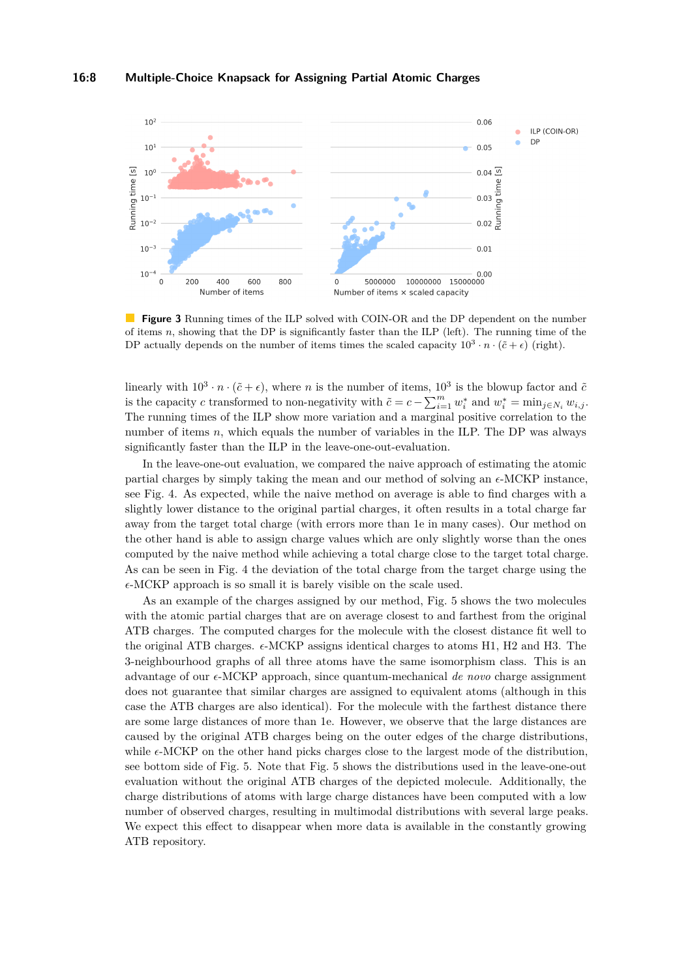<span id="page-7-0"></span>

**Figure 3** Running times of the ILP solved with COIN-OR and the DP dependent on the number of items *n*, showing that the DP is significantly faster than the ILP (left). The running time of the DP actually depends on the number of items times the scaled capacity  $10^3 \cdot n \cdot (\tilde{c} + \epsilon)$  (right).

linearly with  $10^3 \cdot n \cdot (\tilde{c} + \epsilon)$ , where *n* is the number of items,  $10^3$  is the blowup factor and  $\tilde{c}$ is the capacity *c* transformed to non-negativity with  $\tilde{c} = c - \sum_{i=1}^{m} w_i^*$  and  $w_i^* = \min_{j \in N_i} w_{i,j}$ . The running times of the ILP show more variation and a marginal positive correlation to the number of items *n*, which equals the number of variables in the ILP. The DP was always significantly faster than the ILP in the leave-one-out-evaluation.

In the leave-one-out evaluation, we compared the naive approach of estimating the atomic partial charges by simply taking the mean and our method of solving an  $\epsilon$ -MCKP instance, see Fig. [4.](#page-8-0) As expected, while the naive method on average is able to find charges with a slightly lower distance to the original partial charges, it often results in a total charge far away from the target total charge (with errors more than 1e in many cases). Our method on the other hand is able to assign charge values which are only slightly worse than the ones computed by the naive method while achieving a total charge close to the target total charge. As can be seen in Fig. [4](#page-8-0) the deviation of the total charge from the target charge using the  $\epsilon$ -MCKP approach is so small it is barely visible on the scale used.

As an example of the charges assigned by our method, Fig. [5](#page-9-0) shows the two molecules with the atomic partial charges that are on average closest to and farthest from the original ATB charges. The computed charges for the molecule with the closest distance fit well to the original ATB charges.  $\epsilon$ -MCKP assigns identical charges to atoms H1, H2 and H3. The 3-neighbourhood graphs of all three atoms have the same isomorphism class. This is an advantage of our -MCKP approach, since quantum-mechanical *de novo* charge assignment does not guarantee that similar charges are assigned to equivalent atoms (although in this case the ATB charges are also identical). For the molecule with the farthest distance there are some large distances of more than 1e. However, we observe that the large distances are caused by the original ATB charges being on the outer edges of the charge distributions, while  $\epsilon$ -MCKP on the other hand picks charges close to the largest mode of the distribution, see bottom side of Fig. [5.](#page-9-0) Note that Fig. [5](#page-9-0) shows the distributions used in the leave-one-out evaluation without the original ATB charges of the depicted molecule. Additionally, the charge distributions of atoms with large charge distances have been computed with a low number of observed charges, resulting in multimodal distributions with several large peaks. We expect this effect to disappear when more data is available in the constantly growing ATB repository.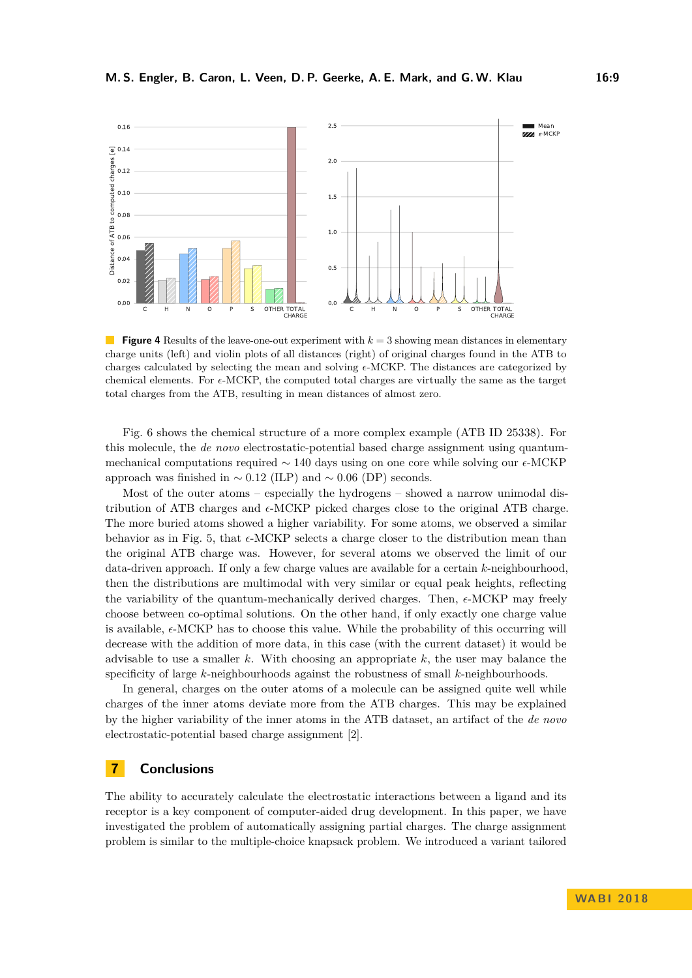<span id="page-8-0"></span>

**The Second Service Figure 4** Results of the leave-one-out experiment with  $k = 3$  showing mean distances in elementary charge units (left) and violin plots of all distances (right) of original charges found in the ATB to charges calculated by selecting the mean and solving  $\epsilon$ -MCKP. The distances are categorized by chemical elements. For  $\epsilon$ -MCKP, the computed total charges are virtually the same as the target total charges from the ATB, resulting in mean distances of almost zero.

Fig. [6](#page-10-1) shows the chemical structure of a more complex example (ATB ID 25338). For this molecule, the *de novo* electrostatic-potential based charge assignment using quantummechanical computations required  $\sim 140$  days using on one core while solving our  $\epsilon$ -MCKP approach was finished in  $\sim 0.12$  (ILP) and  $\sim 0.06$  (DP) seconds.

Most of the outer atoms – especially the hydrogens – showed a narrow unimodal distribution of ATB charges and  $\epsilon$ -MCKP picked charges close to the original ATB charge. The more buried atoms showed a higher variability. For some atoms, we observed a similar behavior as in Fig. [5,](#page-9-0) that  $\epsilon$ -MCKP selects a charge closer to the distribution mean than the original ATB charge was. However, for several atoms we observed the limit of our data-driven approach. If only a few charge values are available for a certain *k*-neighbourhood, then the distributions are multimodal with very similar or equal peak heights, reflecting the variability of the quantum-mechanically derived charges. Then,  $\epsilon$ -MCKP may freely choose between co-optimal solutions. On the other hand, if only exactly one charge value is available,  $\epsilon$ -MCKP has to choose this value. While the probability of this occurring will decrease with the addition of more data, in this case (with the current dataset) it would be advisable to use a smaller *k*. With choosing an appropriate *k*, the user may balance the specificity of large *k*-neighbourhoods against the robustness of small *k*-neighbourhoods.

In general, charges on the outer atoms of a molecule can be assigned quite well while charges of the inner atoms deviate more from the ATB charges. This may be explained by the higher variability of the inner atoms in the ATB dataset, an artifact of the *de novo* electrostatic-potential based charge assignment [\[2\]](#page-10-2).

### **7 Conclusions**

The ability to accurately calculate the electrostatic interactions between a ligand and its receptor is a key component of computer-aided drug development. In this paper, we have investigated the problem of automatically assigning partial charges. The charge assignment problem is similar to the multiple-choice knapsack problem. We introduced a variant tailored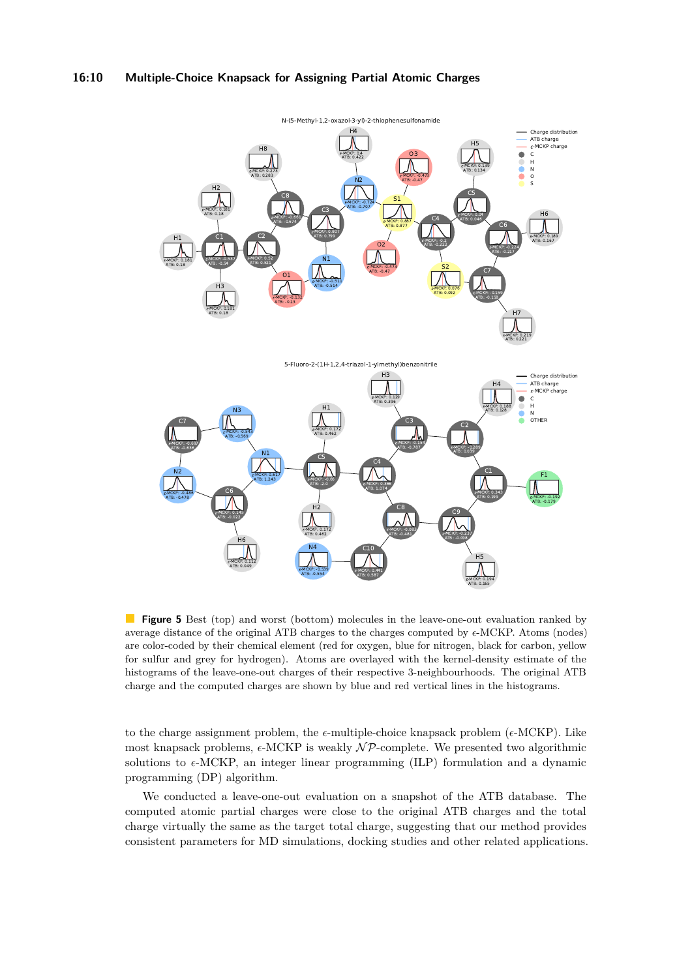#### **16:10 Multiple-Choice Knapsack for Assigning Partial Atomic Charges**

<span id="page-9-0"></span>

**Figure 5** Best (top) and worst (bottom) molecules in the leave-one-out evaluation ranked by average distance of the original ATB charges to the charges computed by  $\epsilon$ -MCKP. Atoms (nodes) are color-coded by their chemical element (red for oxygen, blue for nitrogen, black for carbon, yellow for sulfur and grey for hydrogen). Atoms are overlayed with the kernel-density estimate of the histograms of the leave-one-out charges of their respective 3-neighbourhoods. The original ATB charge and the computed charges are shown by blue and red vertical lines in the histograms.

to the charge assignment problem, the  $\epsilon$ -multiple-choice knapsack problem ( $\epsilon$ -MCKP). Like most knapsack problems,  $\epsilon$ -MCKP is weakly  $\mathcal{NP}$ -complete. We presented two algorithmic solutions to  $\epsilon$ -MCKP, an integer linear programming (ILP) formulation and a dynamic programming (DP) algorithm.

We conducted a leave-one-out evaluation on a snapshot of the ATB database. The computed atomic partial charges were close to the original ATB charges and the total charge virtually the same as the target total charge, suggesting that our method provides consistent parameters for MD simulations, docking studies and other related applications.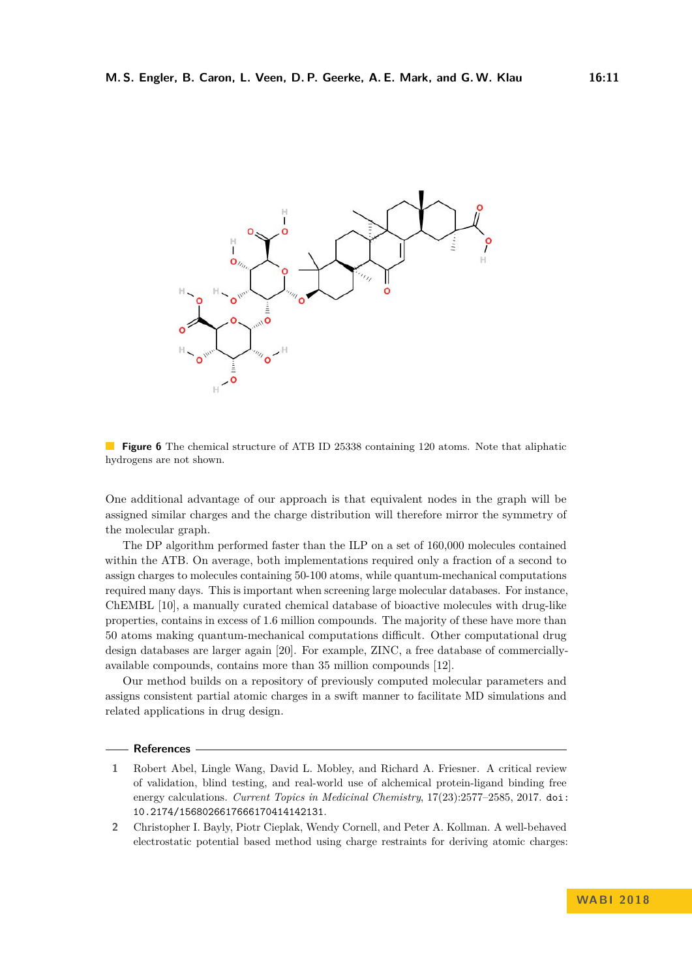<span id="page-10-1"></span>

**Figure 6** The chemical structure of ATB ID 25338 containing 120 atoms. Note that aliphatic hydrogens are not shown.

One additional advantage of our approach is that equivalent nodes in the graph will be assigned similar charges and the charge distribution will therefore mirror the symmetry of the molecular graph.

The DP algorithm performed faster than the ILP on a set of 160,000 molecules contained within the ATB. On average, both implementations required only a fraction of a second to assign charges to molecules containing 50-100 atoms, while quantum-mechanical computations required many days. This is important when screening large molecular databases. For instance, ChEMBL [\[10\]](#page-11-13), a manually curated chemical database of bioactive molecules with drug-like properties, contains in excess of 1.6 million compounds. The majority of these have more than 50 atoms making quantum-mechanical computations difficult. Other computational drug design databases are larger again [\[20\]](#page-12-3). For example, ZINC, a free database of commerciallyavailable compounds, contains more than 35 million compounds [\[12\]](#page-11-14).

Our method builds on a repository of previously computed molecular parameters and assigns consistent partial atomic charges in a swift manner to facilitate MD simulations and related applications in drug design.

#### **References**

- <span id="page-10-0"></span>**1** Robert Abel, Lingle Wang, David L. Mobley, and Richard A. Friesner. A critical review of validation, blind testing, and real-world use of alchemical protein-ligand binding free energy calculations. *Current Topics in Medicinal Chemistry*, 17(23):2577–2585, 2017. [doi:](http://dx.doi.org/10.2174/1568026617666170414142131) [10.2174/1568026617666170414142131](http://dx.doi.org/10.2174/1568026617666170414142131).
- <span id="page-10-2"></span>**2** Christopher I. Bayly, Piotr Cieplak, Wendy Cornell, and Peter A. Kollman. A well-behaved electrostatic potential based method using charge restraints for deriving atomic charges: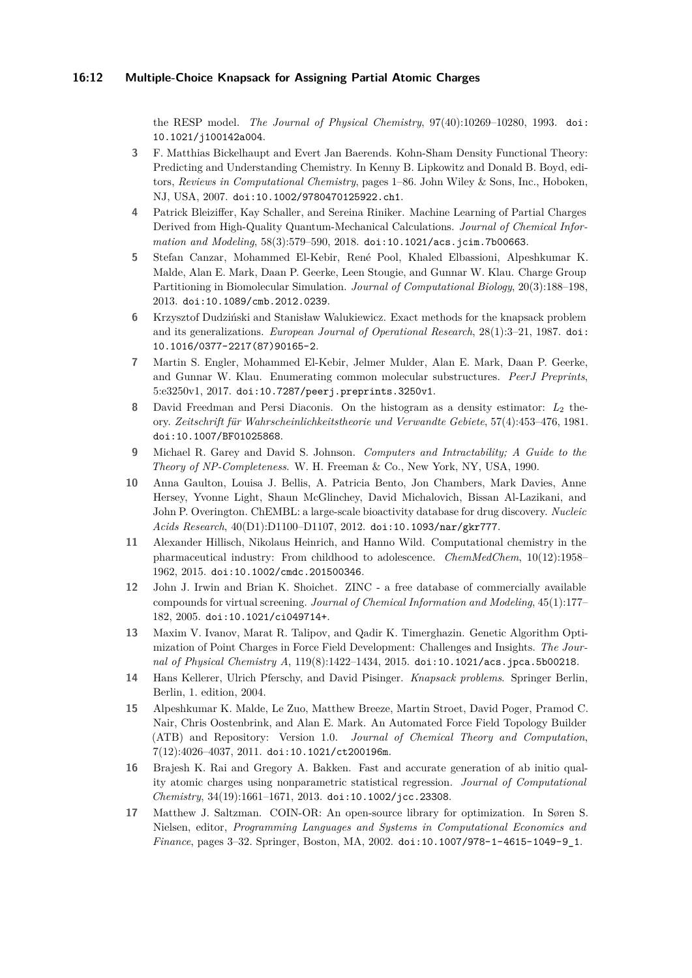the RESP model. *The Journal of Physical Chemistry*, 97(40):10269–10280, 1993. [doi:](http://dx.doi.org/10.1021/j100142a004) [10.1021/j100142a004](http://dx.doi.org/10.1021/j100142a004).

- <span id="page-11-2"></span>**3** F. Matthias Bickelhaupt and Evert Jan Baerends. Kohn-Sham Density Functional Theory: Predicting and Understanding Chemistry. In Kenny B. Lipkowitz and Donald B. Boyd, editors, *Reviews in Computational Chemistry*, pages 1–86. John Wiley & Sons, Inc., Hoboken, NJ, USA, 2007. [doi:10.1002/9780470125922.ch1](http://dx.doi.org/10.1002/9780470125922.ch1).
- <span id="page-11-3"></span>**4** Patrick Bleiziffer, Kay Schaller, and Sereina Riniker. Machine Learning of Partial Charges Derived from High-Quality Quantum-Mechanical Calculations. *Journal of Chemical Information and Modeling*, 58(3):579–590, 2018. [doi:10.1021/acs.jcim.7b00663](http://dx.doi.org/10.1021/acs.jcim.7b00663).
- <span id="page-11-6"></span>**5** Stefan Canzar, Mohammed El-Kebir, René Pool, Khaled Elbassioni, Alpeshkumar K. Malde, Alan E. Mark, Daan P. Geerke, Leen Stougie, and Gunnar W. Klau. Charge Group Partitioning in Biomolecular Simulation. *Journal of Computational Biology*, 20(3):188–198, 2013. [doi:10.1089/cmb.2012.0239](http://dx.doi.org/10.1089/cmb.2012.0239).
- <span id="page-11-8"></span>**6** Krzysztof Dudziński and Stanisław Walukiewicz. Exact methods for the knapsack problem and its generalizations. *European Journal of Operational Research*, 28(1):3–21, 1987. [doi:](http://dx.doi.org/10.1016/0377-2217(87)90165-2) [10.1016/0377-2217\(87\)90165-2](http://dx.doi.org/10.1016/0377-2217(87)90165-2).
- <span id="page-11-7"></span>**7** Martin S. Engler, Mohammed El-Kebir, Jelmer Mulder, Alan E. Mark, Daan P. Geerke, and Gunnar W. Klau. Enumerating common molecular substructures. *PeerJ Preprints*, 5:e3250v1, 2017. [doi:10.7287/peerj.preprints.3250v1](http://dx.doi.org/10.7287/peerj.preprints.3250v1).
- <span id="page-11-11"></span>**8** David Freedman and Persi Diaconis. On the histogram as a density estimator: *L*<sup>2</sup> theory. *Zeitschrift für Wahrscheinlichkeitstheorie und Verwandte Gebiete*, 57(4):453–476, 1981. [doi:10.1007/BF01025868](http://dx.doi.org/10.1007/BF01025868).
- <span id="page-11-10"></span>**9** Michael R. Garey and David S. Johnson. *Computers and Intractability; A Guide to the Theory of NP-Completeness*. W. H. Freeman & Co., New York, NY, USA, 1990.
- <span id="page-11-13"></span>**10** Anna Gaulton, Louisa J. Bellis, A. Patricia Bento, Jon Chambers, Mark Davies, Anne Hersey, Yvonne Light, Shaun McGlinchey, David Michalovich, Bissan Al-Lazikani, and John P. Overington. ChEMBL: a large-scale bioactivity database for drug discovery. *Nucleic Acids Research*, 40(D1):D1100–D1107, 2012. [doi:10.1093/nar/gkr777](http://dx.doi.org/10.1093/nar/gkr777).
- <span id="page-11-0"></span>**11** Alexander Hillisch, Nikolaus Heinrich, and Hanno Wild. Computational chemistry in the pharmaceutical industry: From childhood to adolescence. *ChemMedChem*, 10(12):1958– 1962, 2015. [doi:10.1002/cmdc.201500346](http://dx.doi.org/10.1002/cmdc.201500346).
- <span id="page-11-14"></span>**12** John J. Irwin and Brian K. Shoichet. ZINC - a free database of commercially available compounds for virtual screening. *Journal of Chemical Information and Modeling*, 45(1):177– 182, 2005. [doi:10.1021/ci049714+](http://dx.doi.org/10.1021/ci049714+).
- <span id="page-11-4"></span>**13** Maxim V. Ivanov, Marat R. Talipov, and Qadir K. Timerghazin. Genetic Algorithm Optimization of Point Charges in Force Field Development: Challenges and Insights. *The Journal of Physical Chemistry A*, 119(8):1422–1434, 2015. [doi:10.1021/acs.jpca.5b00218](http://dx.doi.org/10.1021/acs.jpca.5b00218).
- <span id="page-11-9"></span>**14** Hans Kellerer, Ulrich Pferschy, and David Pisinger. *Knapsack problems*. Springer Berlin, Berlin, 1. edition, 2004.
- <span id="page-11-1"></span>**15** Alpeshkumar K. Malde, Le Zuo, Matthew Breeze, Martin Stroet, David Poger, Pramod C. Nair, Chris Oostenbrink, and Alan E. Mark. An Automated Force Field Topology Builder (ATB) and Repository: Version 1.0. *Journal of Chemical Theory and Computation*, 7(12):4026–4037, 2011. [doi:10.1021/ct200196m](http://dx.doi.org/10.1021/ct200196m).
- <span id="page-11-5"></span>**16** Brajesh K. Rai and Gregory A. Bakken. Fast and accurate generation of ab initio quality atomic charges using nonparametric statistical regression. *Journal of Computational Chemistry*, 34(19):1661–1671, 2013. [doi:10.1002/jcc.23308](http://dx.doi.org/10.1002/jcc.23308).
- <span id="page-11-12"></span>**17** Matthew J. Saltzman. COIN-OR: An open-source library for optimization. In Søren S. Nielsen, editor, *Programming Languages and Systems in Computational Economics and Finance*, pages 3–32. Springer, Boston, MA, 2002. [doi:10.1007/978-1-4615-1049-9\\_1](http://dx.doi.org/10.1007/978-1-4615-1049-9_1).